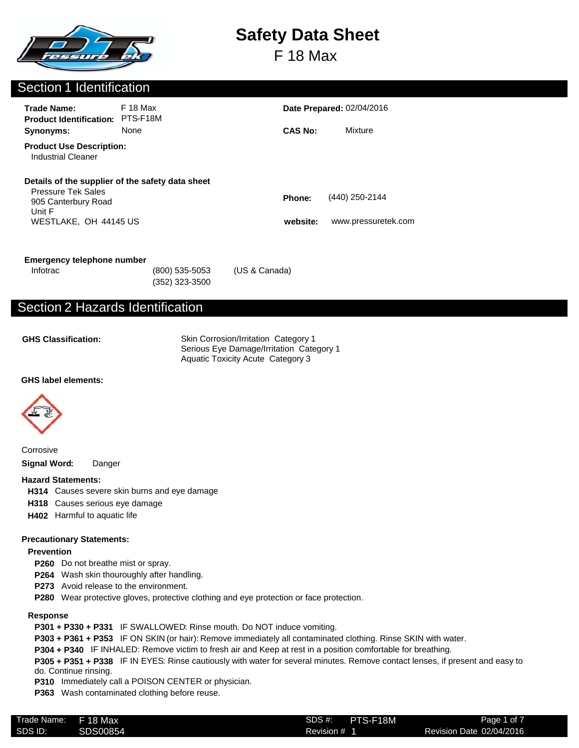

F 18 Max

## Section 1 Identification

| <b>Trade Name:</b><br><b>Product Identification:</b>         | F 18 Max<br>PTS-F18M |                | <b>Date Prepared: 02/04/2016</b> |  |
|--------------------------------------------------------------|----------------------|----------------|----------------------------------|--|
| Synonyms:                                                    | None                 | <b>CAS No:</b> | Mixture                          |  |
| <b>Product Use Description:</b><br><b>Industrial Cleaner</b> |                      |                |                                  |  |
| Details of the supplier of the safety data sheet             |                      |                |                                  |  |
| <b>Pressure Tek Sales</b><br>905 Canterbury Road<br>Unit F   |                      | <b>Phone:</b>  | (440) 250-2144                   |  |
| WESTLAKE, OH 44145 US                                        |                      | website:       | www.pressuretek.com              |  |

#### **Emergency telephone number**

(352) 323-3500

Infotrac (800) 535-5053 (US & Canada)

# Section 2 Hazards Identification

**GHS Classification:**

Skin Corrosion/Irritation Category 1 Serious Eye Damage/Irritation Category 1 Aquatic Toxicity Acute Category 3

## **GHS label elements:**



Corrosive **Signal Word:** Danger

#### **Hazard Statements:**

**H314** Causes severe skin burns and eye damage

- **H318** Causes serious eye damage
- **H402** Harmful to aquatic life

## **Precautionary Statements:**

## **Prevention**

- **P260** Do not breathe mist or spray.
- **P264** Wash skin thouroughly after handling.
- **P273** Avoid release to the environment.
- **P280** Wear protective gloves, protective clothing and eye protection or face protection.

## **Response**

- **P301 + P330 + P331** IF SWALLOWED: Rinse mouth. Do NOT induce vomiting.
- **P303 + P361 + P353** IF ON SKIN (or hair): Remove immediately all contaminated clothing. Rinse SKIN with water.
- **P304 + P340** IF INHALED: Remove victim to fresh air and Keep at rest in a position comfortable for breathing.
- **P305 + P351 + P338** IF IN EYES: Rinse cautiously with water for several minutes. Remove contact lenses, if present and easy to do. Continue rinsing.
- **P310** Immediately call a POISON CENTER or physician.
- **P363** Wash contaminated clothing before reuse.

| Trade Name: | F 18 Max | SDS#    |
|-------------|----------|---------|
| SDS ID:     | SDS00854 | Revisio |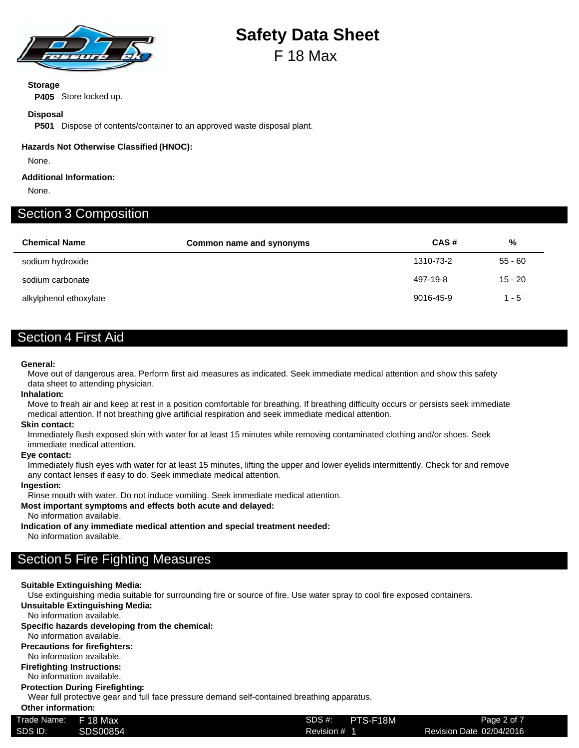

# **Safety Data Sheet** F 18 Max

## **Storage**

**P405** Store locked up.

## **Disposal**

**P501** Dispose of contents/container to an approved waste disposal plant.

## **Hazards Not Otherwise Classified (HNOC):**

None.

## **Additional Information:**

None.

## Section 3 Composition

| <b>Chemical Name</b>   | Common name and synonyms | CAS#      | %         |
|------------------------|--------------------------|-----------|-----------|
| sodium hydroxide       |                          | 1310-73-2 | $55 - 60$ |
| sodium carbonate       |                          | 497-19-8  | $15 - 20$ |
| alkylphenol ethoxylate |                          | 9016-45-9 | $1 - 5$   |

## Section 4 First Aid

## **General:**

Move out of dangerous area. Perform first aid measures as indicated. Seek immediate medical attention and show this safety data sheet to attending physician.

## **Inhalation:**

Move to freah air and keep at rest in a position comfortable for breathing. If breathing difficulty occurs or persists seek immediate medical attention. If not breathing give artificial respiration and seek immediate medical attention.

#### **Skin contact:**

Immediately flush exposed skin with water for at least 15 minutes while removing contaminated clothing and/or shoes. Seek immediate medical attention.

#### **Eye contact:**

Immediately flush eyes with water for at least 15 minutes, lifting the upper and lower eyelids intermittently. Check for and remove any contact lenses if easy to do. Seek immediate medical attention.

## **Ingestion:**

Rinse mouth with water. Do not induce vomiting. Seek immediate medical attention.

## **Most important symptoms and effects both acute and delayed:**

No information available.

**Indication of any immediate medical attention and special treatment needed:**

No information available.

## Section 5 Fire Fighting Measures

## **Suitable Extinguishing Media:**

Use extinguishing media suitable for surrounding fire or source of fire. Use water spray to cool fire exposed containers.

**Unsuitable Extinguishing Media:**

No information available.

#### **Specific hazards developing from the chemical:**

No information available.

## **Precautions for firefighters:**

No information available.

## **Firefighting Instructions:**

No information available.

#### **Protection During Firefighting:**

Wear full protective gear and full face pressure demand self-contained breathing apparatus.

**Other information:**

| Trade Name: | F 18 Max | PTS-F18M<br>SDS #: | Page 2 of 7              |
|-------------|----------|--------------------|--------------------------|
| SDS ID:     | SDS00854 | Revision # 1       | Revision Date 02/04/2016 |
|             |          |                    |                          |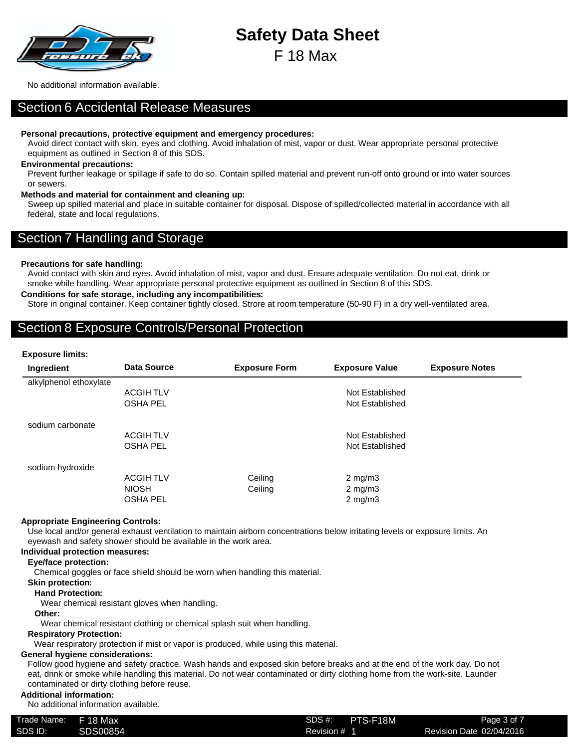

F 18 Max

No additional information available.

## Section 6 Accidental Release Measures

#### **Personal precautions, protective equipment and emergency procedures:**

Avoid direct contact with skin, eyes and clothing. Avoid inhalation of mist, vapor or dust. Wear appropriate personal protective equipment as outlined in Section 8 of this SDS.

## **Environmental precautions:**

Prevent further leakage or spillage if safe to do so. Contain spilled material and prevent run-off onto ground or into water sources or sewers.

## **Methods and material for containment and cleaning up:**

Sweep up spilled material and place in suitable container for disposal. Dispose of spilled/collected material in accordance with all federal, state and local regulations.

## Section 7 Handling and Storage

## **Precautions for safe handling:**

Avoid contact with skin and eyes. Avoid inhalation of mist, vapor and dust. Ensure adequate ventilation. Do not eat, drink or smoke while handling. Wear appropriate personal protective equipment as outlined in Section 8 of this SDS.

## **Conditions for safe storage, including any incompatibilities:**

Store in original container. Keep container tightly closed. Strore at room temperature (50-90 F) in a dry well-ventilated area.

## Section 8 Exposure Controls/Personal Protection

#### **Exposure limits:**

| Ingredient             | <b>Data Source</b> | <b>Exposure Form</b> | <b>Exposure Value</b> | <b>Exposure Notes</b> |
|------------------------|--------------------|----------------------|-----------------------|-----------------------|
| alkylphenol ethoxylate |                    |                      |                       |                       |
|                        | <b>ACGIHTLV</b>    |                      | Not Established       |                       |
|                        | <b>OSHA PEL</b>    |                      | Not Established       |                       |
| sodium carbonate       |                    |                      |                       |                       |
|                        | <b>ACGIHTLV</b>    |                      | Not Established       |                       |
|                        | <b>OSHA PEL</b>    |                      | Not Established       |                       |
| sodium hydroxide       |                    |                      |                       |                       |
|                        | <b>ACGIHTLV</b>    | Ceiling              | $2 \text{ mg/m}$      |                       |
|                        | <b>NIOSH</b>       | Ceiling              | $2 \text{ mg/m}$ 3    |                       |
|                        | <b>OSHA PEL</b>    |                      | $2 \text{ mg/m}$ 3    |                       |

## **Appropriate Engineering Controls:**

Use local and/or general exhaust ventilation to maintain airborn concentrations below irritating levels or exposure limits. An eyewash and safety shower should be available in the work area.

## **Individual protection measures:**

#### **Eye/face protection:**

Chemical goggles or face shield should be worn when handling this material.

## **Skin protection:**

## **Hand Protection:**

Wear chemical resistant gloves when handling.

**Other:**

Wear chemical resistant clothing or chemical splash suit when handling.

## **Respiratory Protection:**

Wear respiratory protection if mist or vapor is produced, while using this material.

## **General hygiene considerations:**

Follow good hygiene and safety practice. Wash hands and exposed skin before breaks and at the end of the work day. Do not eat, drink or smoke while handling this material. Do not wear contaminated or dirty clothing home from the work-site. Launder contaminated or dirty clothing before reuse.

### **Additional information:**

No additional information available.

| Trade Name: | <b>F</b> 18 Max | SDS #:       | PTS-F18M | Page 3 of 7              |
|-------------|-----------------|--------------|----------|--------------------------|
| SDS ID:     | SDS00854        | Revision #_1 |          | Revision Date 02/04/2016 |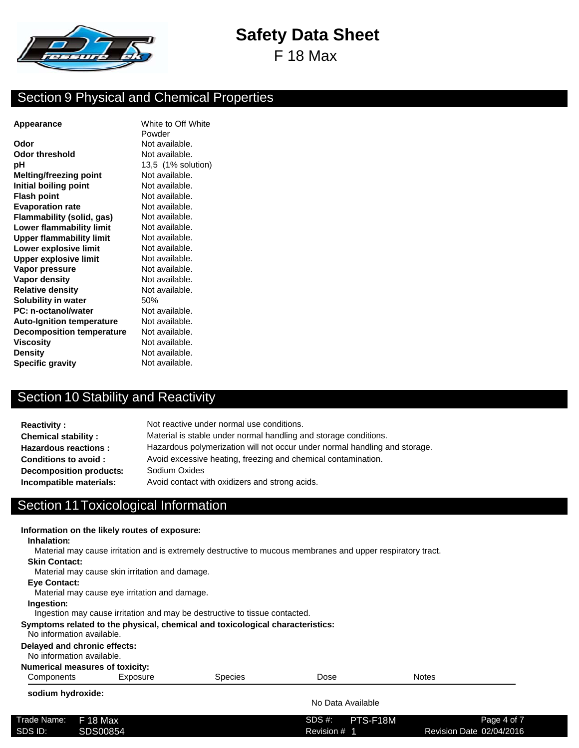

F 18 Max

## Section 9 Physical and Chemical Properties

**Odor** Not available. **Odor threshold** Not available. **pH** 13,5 (1% solution) **Melting/freezing point** Not available.<br> **Not available.** Not available. **Initial boiling point Flash point** Not available. **Evaporation rate** Not available. **Flammability (solid, gas)** Not available. **Lower flammability limit** Not available. **Upper flammability limit** Not available. **Lower explosive limit** Not available. **Upper explosive limit** Not available. **Vapor pressure** Not available. **Vapor density** Not available. **Relative density** Not available. **Solubility in water** 50% **PC: n-octanol/water** Not available. **Auto-Ignition temperature** Not available. **Decomposition temperature** Not available. **Viscosity** Not available. **Density** Not available. **Specific gravity** Not available.

**Appearance** White to Off White Powder

## Section 10 Stability and Reactivity

| <b>Reactivity:</b>             | Not reactive under normal use conditions.                                  |
|--------------------------------|----------------------------------------------------------------------------|
| <b>Chemical stability:</b>     | Material is stable under normal handling and storage conditions.           |
| <b>Hazardous reactions:</b>    | Hazardous polymerization will not occur under normal handling and storage. |
| <b>Conditions to avoid:</b>    | Avoid excessive heating, freezing and chemical contamination.              |
| <b>Decomposition products:</b> | Sodium Oxides                                                              |
| Incompatible materials:        | Avoid contact with oxidizers and strong acids.                             |

## Section 11Toxicological Information

| Inhalation:                                               | Information on the likely routes of exposure:  | Material may cause irritation and is extremely destructive to mucous membranes and upper respiratory tract. |                   |              |  |
|-----------------------------------------------------------|------------------------------------------------|-------------------------------------------------------------------------------------------------------------|-------------------|--------------|--|
| <b>Skin Contact:</b>                                      | Material may cause skin irritation and damage. |                                                                                                             |                   |              |  |
| <b>Eve Contact:</b>                                       | Material may cause eye irritation and damage.  |                                                                                                             |                   |              |  |
| Ingestion:                                                |                                                | Ingestion may cause irritation and may be destructive to tissue contacted.                                  |                   |              |  |
| No information available.                                 |                                                | Symptoms related to the physical, chemical and toxicological characteristics:                               |                   |              |  |
| Delayed and chronic effects:<br>No information available. |                                                |                                                                                                             |                   |              |  |
| <b>Numerical measures of toxicity:</b>                    |                                                |                                                                                                             |                   |              |  |
| Components                                                | Exposure                                       | <b>Species</b>                                                                                              | Dose              | <b>Notes</b> |  |
| sodium hydroxide:                                         |                                                |                                                                                                             | No Data Available |              |  |

| Trade Name: | F 18 Max | SDS #:<br>PTS-F18M | Page 4 of 7              |
|-------------|----------|--------------------|--------------------------|
| SDS ID:     | SDS00854 | Revision #         | Revision Date 02/04/2016 |
|             |          |                    |                          |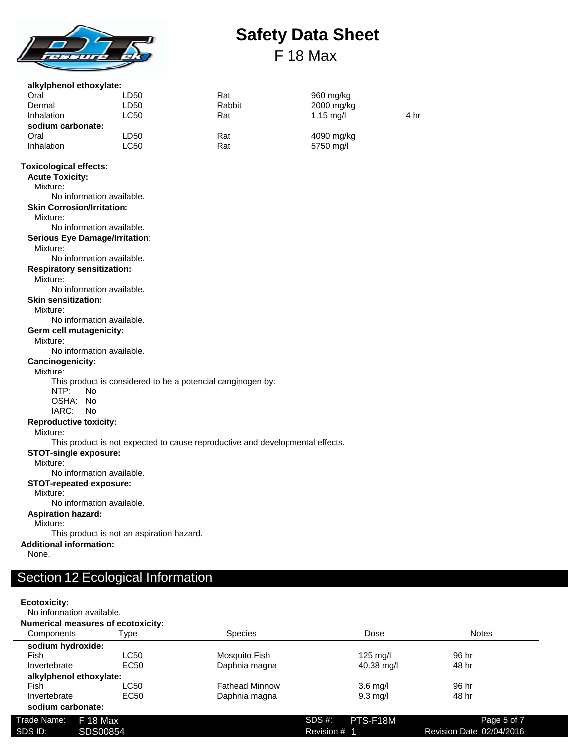

# **Safety Data Sheet** F 18 Max

| alkylphenol ethoxylate:                                 |                                           |                                                                               |            |      |
|---------------------------------------------------------|-------------------------------------------|-------------------------------------------------------------------------------|------------|------|
| Oral                                                    | LD50                                      | Rat                                                                           | 960 mg/kg  |      |
| Dermal                                                  | LD50                                      | Rabbit                                                                        | 2000 mg/kg |      |
| Inhalation                                              | LC50                                      | Rat                                                                           | 1.15 mg/l  | 4 hr |
| sodium carbonate:                                       |                                           |                                                                               |            |      |
| Oral                                                    | LD <sub>50</sub>                          | Rat                                                                           | 4090 mg/kg |      |
| <b>Inhalation</b>                                       | <b>LC50</b>                               | Rat                                                                           | 5750 mg/l  |      |
| <b>Toxicological effects:</b><br><b>Acute Toxicity:</b> |                                           |                                                                               |            |      |
| Mixture:                                                | No information available.                 |                                                                               |            |      |
| <b>Skin Corrosion/Irritation:</b>                       |                                           |                                                                               |            |      |
| Mixture:                                                |                                           |                                                                               |            |      |
|                                                         | No information available.                 |                                                                               |            |      |
| <b>Serious Eye Damage/Irritation:</b>                   |                                           |                                                                               |            |      |
| Mixture:                                                |                                           |                                                                               |            |      |
|                                                         | No information available.                 |                                                                               |            |      |
| <b>Respiratory sensitization:</b>                       |                                           |                                                                               |            |      |
| Mixture:                                                |                                           |                                                                               |            |      |
|                                                         | No information available.                 |                                                                               |            |      |
| <b>Skin sensitization:</b>                              |                                           |                                                                               |            |      |
| Mixture:                                                |                                           |                                                                               |            |      |
|                                                         | No information available.                 |                                                                               |            |      |
| Germ cell mutagenicity:                                 |                                           |                                                                               |            |      |
| Mixture:                                                |                                           |                                                                               |            |      |
|                                                         | No information available.                 |                                                                               |            |      |
| Cancinogenicity:                                        |                                           |                                                                               |            |      |
| Mixture:                                                |                                           |                                                                               |            |      |
| NTP:<br>N <sub>o</sub>                                  |                                           | This product is considered to be a potencial canginogen by:                   |            |      |
| OSHA: No                                                |                                           |                                                                               |            |      |
| IARC:<br>No.                                            |                                           |                                                                               |            |      |
| <b>Reproductive toxicity:</b>                           |                                           |                                                                               |            |      |
| Mixture:                                                |                                           |                                                                               |            |      |
|                                                         |                                           | This product is not expected to cause reproductive and developmental effects. |            |      |
| <b>STOT-single exposure:</b>                            |                                           |                                                                               |            |      |
| Mixture:                                                |                                           |                                                                               |            |      |
|                                                         | No information available.                 |                                                                               |            |      |
| <b>STOT-repeated exposure:</b>                          |                                           |                                                                               |            |      |
| Mixture:                                                |                                           |                                                                               |            |      |
|                                                         | No information available.                 |                                                                               |            |      |
| <b>Aspiration hazard:</b>                               |                                           |                                                                               |            |      |
| Mixture:                                                |                                           |                                                                               |            |      |
|                                                         | This product is not an aspiration hazard. |                                                                               |            |      |
| <b>Additional information:</b>                          |                                           |                                                                               |            |      |

None.

# Section 12 Ecological Information

## **Ecotoxicity:**

No information available.

|                   | <b>Numerical measures of ecotoxicity:</b> |                       |                    |                          |
|-------------------|-------------------------------------------|-----------------------|--------------------|--------------------------|
| <b>Components</b> | Type                                      | <b>Species</b>        | Dose               | <b>Notes</b>             |
| sodium hydroxide: |                                           |                       |                    |                          |
| Fish              | LC50                                      | Mosquito Fish         | $125 \text{ mg/l}$ | 96 hr                    |
| Invertebrate      | EC <sub>50</sub>                          | Daphnia magna         | 40.38 mg/l         | 48 hr                    |
|                   | alkylphenol ethoxylate:                   |                       |                    |                          |
| Fish              | LC50                                      | <b>Fathead Minnow</b> | $3.6$ mg/l         | 96 hr                    |
| Invertebrate      | EC <sub>50</sub>                          | Daphnia magna         | $9.3 \text{ mq/l}$ | 48 hr                    |
| sodium carbonate: |                                           |                       |                    |                          |
| Trade Name:       | F 18 Max                                  |                       | PTS-F18M<br>SDS #: | Page 5 of 7              |
| SDS ID:           | SDS00854                                  |                       | Revision # 1       | Revision Date 02/04/2016 |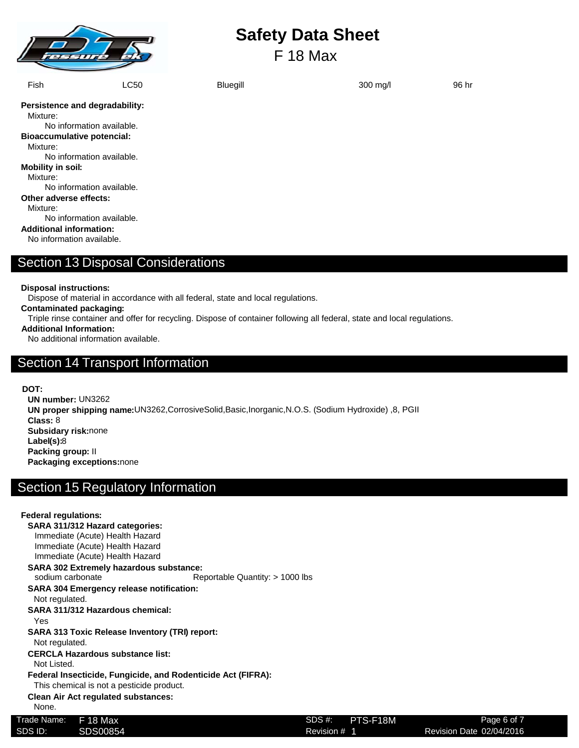

F 18 Max

| Fish                              | LC50                      | <b>Bluegill</b> | 300 mg/l | 96 hr |
|-----------------------------------|---------------------------|-----------------|----------|-------|
| Persistence and degradability:    |                           |                 |          |       |
| Mixture:                          |                           |                 |          |       |
|                                   | No information available. |                 |          |       |
| <b>Bioaccumulative potencial:</b> |                           |                 |          |       |
| Mixture:                          |                           |                 |          |       |
|                                   | No information available. |                 |          |       |
| <b>Mobility in soil:</b>          |                           |                 |          |       |
| Mixture:                          |                           |                 |          |       |
|                                   | No information available. |                 |          |       |
| Other adverse effects:            |                           |                 |          |       |
| Mixture:                          |                           |                 |          |       |
|                                   | No information available. |                 |          |       |
| <b>Additional information:</b>    |                           |                 |          |       |
|                                   | No information available. |                 |          |       |

**Disposal instructions:**

Dispose of material in accordance with all federal, state and local regulations.

**Contaminated packaging:**

Triple rinse container and offer for recycling. Dispose of container following all federal, state and local regulations.

**Additional Information:**

No additional information available.

## Section 14 Transport Information

**DOT:**

**UN number:** UN3262 **UN proper shipping name:**UN3262,CorrosiveSolid,Basic,Inorganic,N.O.S. (Sodium Hydroxide) ,8, PGII **Class:** 8 **Subsidary risk:**none **Label(s):**8 **Packing group:** II **Packaging exceptions:**none

# Section 15 Regulatory Information

| <b>Federal regulations:</b> |                                                       |                                                              |                    |                          |
|-----------------------------|-------------------------------------------------------|--------------------------------------------------------------|--------------------|--------------------------|
|                             | SARA 311/312 Hazard categories:                       |                                                              |                    |                          |
|                             | Immediate (Acute) Health Hazard                       |                                                              |                    |                          |
|                             | Immediate (Acute) Health Hazard                       |                                                              |                    |                          |
|                             | Immediate (Acute) Health Hazard                       |                                                              |                    |                          |
|                             | <b>SARA 302 Extremely hazardous substance:</b>        |                                                              |                    |                          |
| sodium carbonate            |                                                       | Reportable Quantity: $> 1000$ lbs                            |                    |                          |
|                             | <b>SARA 304 Emergency release notification:</b>       |                                                              |                    |                          |
| Not regulated.              |                                                       |                                                              |                    |                          |
|                             | SARA 311/312 Hazardous chemical:                      |                                                              |                    |                          |
| Yes                         |                                                       |                                                              |                    |                          |
|                             | <b>SARA 313 Toxic Release Inventory (TRI) report:</b> |                                                              |                    |                          |
| Not regulated.              |                                                       |                                                              |                    |                          |
|                             | <b>CERCLA Hazardous substance list:</b>               |                                                              |                    |                          |
| Not Listed.                 |                                                       |                                                              |                    |                          |
|                             |                                                       | Federal Insecticide, Fungicide, and Rodenticide Act (FIFRA): |                    |                          |
|                             | This chemical is not a pesticide product.             |                                                              |                    |                          |
|                             | <b>Clean Air Act regulated substances:</b>            |                                                              |                    |                          |
| None.                       |                                                       |                                                              |                    |                          |
| Trade Name:                 | F 18 Max                                              |                                                              | SDS #:<br>PTS-F18M | Page 6 of 7              |
| SDS ID:                     | SDS00854                                              |                                                              | Revision # 1       | Revision Date 02/04/2016 |